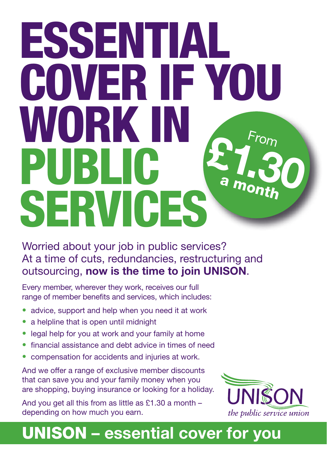# ESSENTIAL COVER IF YOU WORK IN PUBLIC **SERVICES**  $\mathsf{F}$ ro $\mathsf{m}$ **£1.30** a month

## Worried about your job in public services? At a time of cuts, redundancies, restructuring and outsourcing, **now is the time to join UNISON**.

Every member, wherever they work, receives our full range of member benefits and services, which includes:

- advice, support and help when you need it at work
- a helpline that is open until midnight
- legal help for you at work and your family at home
- financial assistance and debt advice in times of need
- compensation for accidents and injuries at work.

And we offer a range of exclusive member discounts that can save you and your family money when you are shopping, buying insurance or looking for a holiday.

And you get all this from as little as £1.30 a month – depending on how much you earn.



## UNISON **– essential cover for you**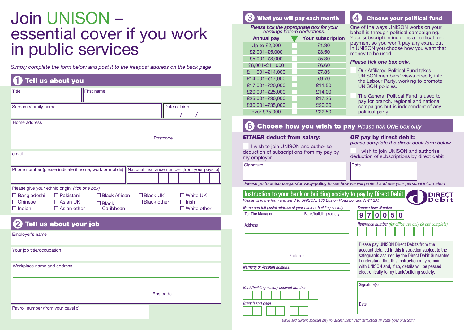# Join UNISON – essential cover if you work in public services

*Simply complete the form below and post it to the freepost address on the back page*

| Tell us about you                                                 |                           |                                                            |  |  |
|-------------------------------------------------------------------|---------------------------|------------------------------------------------------------|--|--|
| <b>Title</b>                                                      | First name                |                                                            |  |  |
| Surname/family name                                               |                           | Date of birth                                              |  |  |
| Home address                                                      |                           |                                                            |  |  |
|                                                                   |                           | Postcode                                                   |  |  |
| email                                                             |                           |                                                            |  |  |
| Phone number (please indicate if home, work or mobile)            |                           | National insurance number (from your payslip)              |  |  |
| Please give your ethnic origin: (tick one box)                    |                           |                                                            |  |  |
| Bangladeshi<br>$\Box$ Pakistani                                   | <b>Black African</b>      | $\Box$ Black UK $\,$<br>$\Box$ White UK                    |  |  |
| Chinese<br>$\Box$ Asian UK<br>$\Box$ Indian<br>$\Box$ Asian other | <b>Black</b><br>Caribbean | $\Box$ Black other<br>$\Box$ Irish<br>$\sqcap$ White other |  |  |

### Tell us about your job

| Employer's name                    |          |
|------------------------------------|----------|
| Your job title/occupation          |          |
| Workplace name and address         |          |
|                                    | Postcode |
| Payroll number (from your payslip) |          |

#### What you will pay each month

| Please tick the appropriate box for your<br>earnings before deductions. |  |                          |  |
|-------------------------------------------------------------------------|--|--------------------------|--|
| <b>Annual pay</b>                                                       |  | <b>Your subscription</b> |  |
| Up to £2,000                                                            |  | £1.30                    |  |
| £2,001-£5,000                                                           |  | £3.50                    |  |
| £5,001-£8,000                                                           |  | £5.30                    |  |
| £8,001-£11,000                                                          |  | £6.60                    |  |
| £11,001-£14,000                                                         |  | £7.85                    |  |
| £14,001-£17,000                                                         |  | £9.70                    |  |
| £17,001-£20,000                                                         |  | £11.50                   |  |
| £20,001-£25,000                                                         |  | £14.00                   |  |
| £25.001-£30.000                                                         |  | £17.25                   |  |
| £30,001-£35,000                                                         |  | £20.30                   |  |
| over £35,000                                                            |  | £22.50                   |  |



One of the ways UNISON works on your behalf is through political campaigning. Your subscription includes a political fund payment so you won't pay any extra, but in UNISON you choose how you want that money to be used.

#### *Please tick one box only.*

- **Our Affiliated Political Fund takes** UNISON members' views directly into the Labour Party, working to promote UNISON policies.
- The General Political Fund is used to pay for branch, regional and national campaigns but is independent of any political party.

#### 6 **Choose how you wish to pay Please tick ONE box only**

#### *EITHER* deduct from salary:

#### **OR** pay by direct debit:

I wish to join UNISON and authorise deduction of subscriptions from my pay by my employer. *please complete the direct debit form below*

I wish to join UNISON and authorise deduction of subscriptions by direct debit

Signature Date

#### *Please go to* unison.org.uk/privacy-policy *to see how we will protect and use your personal information*

| Please go to <b>unison.org.uk/privacy-policy</b> to see how we will protect and use your personal information                                     |                                                                                                                                                                                                       |
|---------------------------------------------------------------------------------------------------------------------------------------------------|-------------------------------------------------------------------------------------------------------------------------------------------------------------------------------------------------------|
| Instruction to your bank or building society to pay by Direct Debit<br>Please fill in the form and send to UNISON, 130 Euston Road London NW1 2AY | <b>DIRECT</b><br>Debit                                                                                                                                                                                |
| Name and full postal address of your bank or building society                                                                                     | <b>Service User Number</b>                                                                                                                                                                            |
| To: The Manager<br>Bank/building society                                                                                                          |                                                                                                                                                                                                       |
| <b>Address</b>                                                                                                                                    | Reference number (for office use only do not complete)                                                                                                                                                |
| Postcode                                                                                                                                          | Please pay UNISON Direct Debits from the<br>account detailed in this Instruction subject to the<br>safequards assured by the Direct Debit Guarantee.<br>I understand that this Instruction may remain |
| Name(s) of Account holder(s)                                                                                                                      | with UNISON and, if so, details will be passed<br>electronically to my bank/building society.                                                                                                         |
| Bank/building society account number                                                                                                              | Signature(s)                                                                                                                                                                                          |
| <b>Branch sort code</b>                                                                                                                           | <b>Date</b>                                                                                                                                                                                           |

*Banks and building societies may not accept Direct Debit instructions for some types of account*